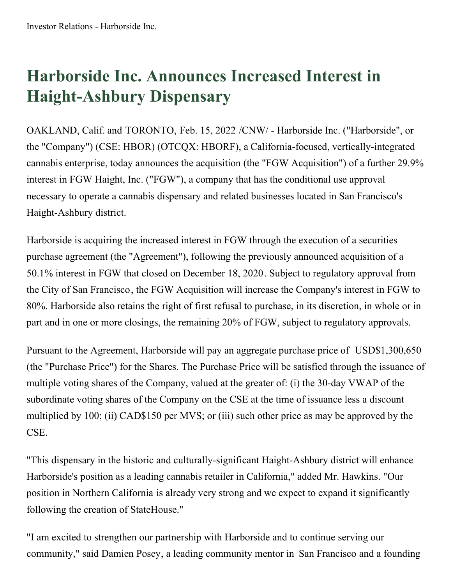## **Harborside Inc. Announces Increased Interest in Haight-Ashbury Dispensary**

OAKLAND, Calif. and TORONTO, Feb. 15, 2022 /CNW/ - Harborside Inc. ("Harborside", or the "Company") (CSE: HBOR) (OTCQX: HBORF), a California-focused, vertically-integrated cannabis enterprise, today announces the acquisition (the "FGW Acquisition") of a further 29.9% interest in FGW Haight, Inc. ("FGW"), a company that has the conditional use approval necessary to operate a cannabis dispensary and related businesses located in San Francisco's Haight-Ashbury district.

Harborside is acquiring the increased interest in FGW through the execution of a securities purchase agreement (the "Agreement"), following the previously announced acquisition of a 50.1% interest in FGW that closed on December 18, 2020. Subject to regulatory approval from the City of San Francisco, the FGW Acquisition will increase the Company's interest in FGW to 80%. Harborside also retains the right of first refusal to purchase, in its discretion, in whole or in part and in one or more closings, the remaining 20% of FGW, subject to regulatory approvals.

Pursuant to the Agreement, Harborside will pay an aggregate purchase price of USD\$1,300,650 (the "Purchase Price") for the Shares. The Purchase Price will be satisfied through the issuance of multiple voting shares of the Company, valued at the greater of: (i) the 30-day VWAP of the subordinate voting shares of the Company on the CSE at the time of issuance less a discount multiplied by 100; (ii) CAD\$150 per MVS; or (iii) such other price as may be approved by the CSE.

"This dispensary in the historic and culturally-significant Haight-Ashbury district will enhance Harborside's position as a leading cannabis retailer in California," added Mr. Hawkins. "Our position in Northern California is already very strong and we expect to expand it significantly following the creation of StateHouse."

"I am excited to strengthen our partnership with Harborside and to continue serving our community," said Damien Posey, a leading community mentor in San Francisco and a founding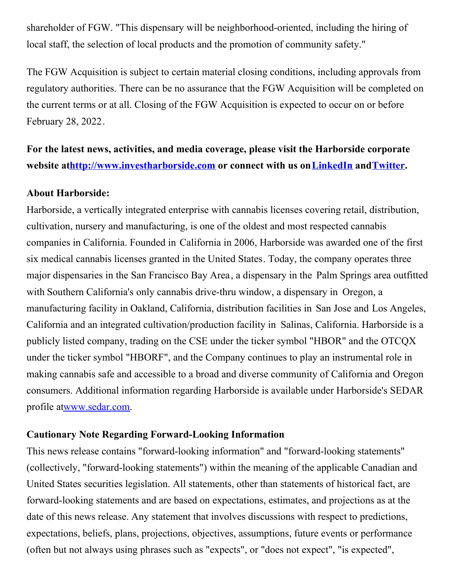shareholder of FGW. "This dispensary will be neighborhood-oriented, including the hiring of local staff, the selection of local products and the promotion of community safety."

The FGW Acquisition is subject to certain material closing conditions, including approvals from regulatory authorities. There can be no assurance that the FGW Acquisition will be completed on the current terms or at all. Closing of the FGW Acquisition is expected to occur on or before February 28, 2022.

**For the latest news, activities, and media coverage, please visit the Harborside corporate website a[thttp://www.investharborside.com](https://c212.net/c/link/?t=0&l=en&o=3444010-1&h=1995587144&u=http%3A%2F%2Fwww.investharborside.com%2F&a=http%3A%2F%2Fwww.investharborside.com) or connect with us on[LinkedIn](https://c212.net/c/link/?t=0&l=en&o=3444010-1&h=3531745523&u=https%3A%2F%2Fwww.linkedin.com%2Fcompany%2Fharborside-inc%2F&a=LinkedIn) and[Twitter](https://c212.net/c/link/?t=0&l=en&o=3444010-1&h=1747383706&u=https%3A%2F%2Ftwitter.com%2FHarborsideInc&a=Twitter).**

## **About Harborside:**

Harborside, a vertically integrated enterprise with cannabis licenses covering retail, distribution, cultivation, nursery and manufacturing, is one of the oldest and most respected cannabis companies in California. Founded in California in 2006, Harborside was awarded one of the first six medical cannabis licenses granted in the United States. Today, the company operates three major dispensaries in the San Francisco Bay Area, a dispensary in the Palm Springs area outfitted with Southern California's only cannabis drive-thru window, a dispensary in Oregon, a manufacturing facility in Oakland, California, distribution facilities in San Jose and Los Angeles, California and an integrated cultivation/production facility in Salinas, California. Harborside is a publicly listed company, trading on the CSE under the ticker symbol "HBOR" and the OTCQX under the ticker symbol "HBORF", and the Company continues to play an instrumental role in making cannabis safe and accessible to a broad and diverse community of California and Oregon consumers. Additional information regarding Harborside is available under Harborside's SEDAR profile a[twww.sedar.com](https://c212.net/c/link/?t=0&l=en&o=3444010-1&h=2466630051&u=http%3A%2F%2Fwww.sedar.com%2F&a=www.sedar.com).

## **Cautionary Note Regarding Forward-Looking Information**

This news release contains "forward-looking information" and "forward-looking statements" (collectively, "forward-looking statements") within the meaning of the applicable Canadian and United States securities legislation. All statements, other than statements of historical fact, are forward-looking statements and are based on expectations, estimates, and projections as at the date of this news release. Any statement that involves discussions with respect to predictions, expectations, beliefs, plans, projections, objectives, assumptions, future events or performance (often but not always using phrases such as "expects", or "does not expect", "is expected",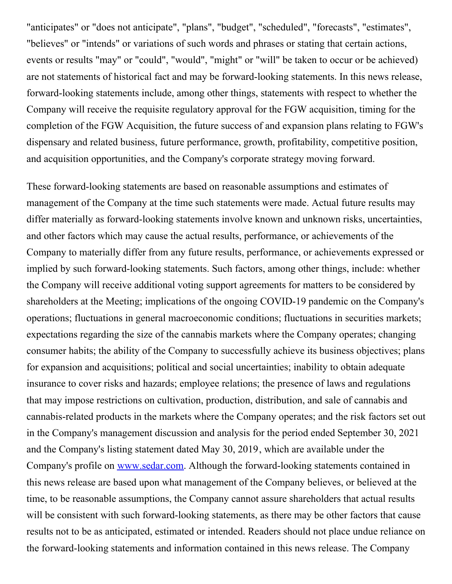"anticipates" or "does not anticipate", "plans", "budget", "scheduled", "forecasts", "estimates", "believes" or "intends" or variations of such words and phrases or stating that certain actions, events or results "may" or "could", "would", "might" or "will" be taken to occur or be achieved) are not statements of historical fact and may be forward-looking statements. In this news release, forward-looking statements include, among other things, statements with respect to whether the Company will receive the requisite regulatory approval for the FGW acquisition, timing for the completion of the FGW Acquisition, the future success of and expansion plans relating to FGW's dispensary and related business, future performance, growth, profitability, competitive position, and acquisition opportunities, and the Company's corporate strategy moving forward.

These forward-looking statements are based on reasonable assumptions and estimates of management of the Company at the time such statements were made. Actual future results may differ materially as forward-looking statements involve known and unknown risks, uncertainties, and other factors which may cause the actual results, performance, or achievements of the Company to materially differ from any future results, performance, or achievements expressed or implied by such forward-looking statements. Such factors, among other things, include: whether the Company will receive additional voting support agreements for matters to be considered by shareholders at the Meeting; implications of the ongoing COVID-19 pandemic on the Company's operations; fluctuations in general macroeconomic conditions; fluctuations in securities markets; expectations regarding the size of the cannabis markets where the Company operates; changing consumer habits; the ability of the Company to successfully achieve its business objectives; plans for expansion and acquisitions; political and social uncertainties; inability to obtain adequate insurance to cover risks and hazards; employee relations; the presence of laws and regulations that may impose restrictions on cultivation, production, distribution, and sale of cannabis and cannabis-related products in the markets where the Company operates; and the risk factors set out in the Company's management discussion and analysis for the period ended September 30, 2021 and the Company's listing statement dated May 30, 2019, which are available under the Company's profile on [www.sedar.com](https://c212.net/c/link/?t=0&l=en&o=3444010-1&h=2466630051&u=http%3A%2F%2Fwww.sedar.com%2F&a=www.sedar.com). Although the forward-looking statements contained in this news release are based upon what management of the Company believes, or believed at the time, to be reasonable assumptions, the Company cannot assure shareholders that actual results will be consistent with such forward-looking statements, as there may be other factors that cause results not to be as anticipated, estimated or intended. Readers should not place undue reliance on the forward-looking statements and information contained in this news release. The Company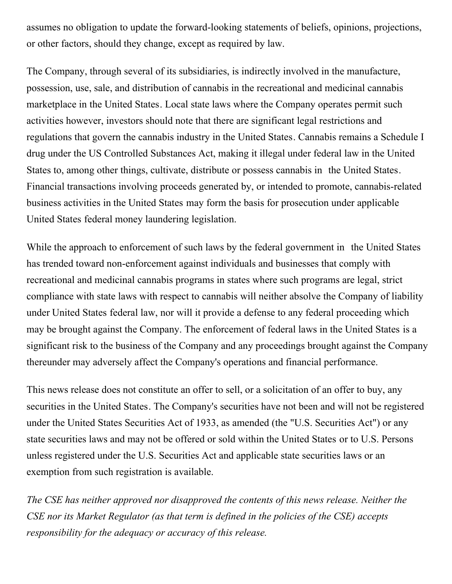assumes no obligation to update the forward-looking statements of beliefs, opinions, projections, or other factors, should they change, except as required by law.

The Company, through several of its subsidiaries, is indirectly involved in the manufacture, possession, use, sale, and distribution of cannabis in the recreational and medicinal cannabis marketplace in the United States. Local state laws where the Company operates permit such activities however, investors should note that there are significant legal restrictions and regulations that govern the cannabis industry in the United States. Cannabis remains a Schedule I drug under the US Controlled Substances Act, making it illegal under federal law in the United States to, among other things, cultivate, distribute or possess cannabis in the United States. Financial transactions involving proceeds generated by, or intended to promote, cannabis-related business activities in the United States may form the basis for prosecution under applicable United States federal money laundering legislation.

While the approach to enforcement of such laws by the federal government in the United States has trended toward non-enforcement against individuals and businesses that comply with recreational and medicinal cannabis programs in states where such programs are legal, strict compliance with state laws with respect to cannabis will neither absolve the Company of liability under United States federal law, nor will it provide a defense to any federal proceeding which may be brought against the Company. The enforcement of federal laws in the United States is a significant risk to the business of the Company and any proceedings brought against the Company thereunder may adversely affect the Company's operations and financial performance.

This news release does not constitute an offer to sell, or a solicitation of an offer to buy, any securities in the United States. The Company's securities have not been and will not be registered under the United States Securities Act of 1933, as amended (the "U.S. Securities Act") or any state securities laws and may not be offered or sold within the United States or to U.S. Persons unless registered under the U.S. Securities Act and applicable state securities laws or an exemption from such registration is available.

*The CSE has neither approved nor disapproved the contents of this news release. Neither the CSE nor its Market Regulator (as that term is defined in the policies of the CSE) accepts responsibility for the adequacy or accuracy of this release.*